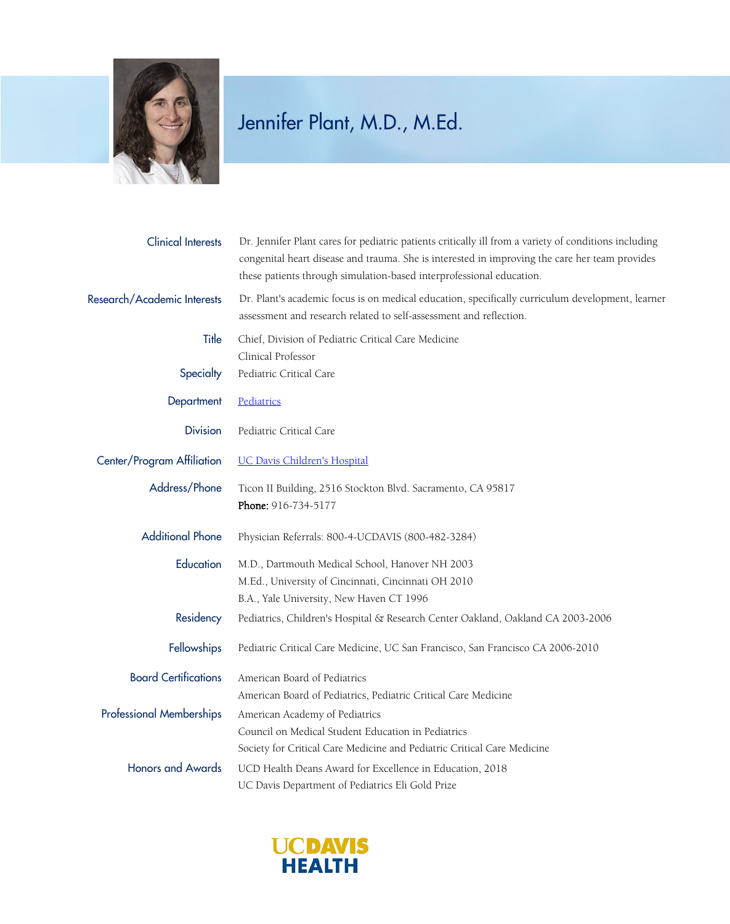

## Jennifer Plant, M.D., M.Ed.

| <b>Clinical Interests</b>       | Dr. Jennifer Plant cares for pediatric patients critically ill from a variety of conditions including<br>congenital heart disease and trauma. She is interested in improving the care her team provides<br>these patients through simulation-based interprofessional education. |
|---------------------------------|---------------------------------------------------------------------------------------------------------------------------------------------------------------------------------------------------------------------------------------------------------------------------------|
| Research/Academic Interests     | Dr. Plant's academic focus is on medical education, specifically curriculum development, learner<br>assessment and research related to self-assessment and reflection.                                                                                                          |
| Title                           | Chief, Division of Pediatric Critical Care Medicine<br>Clinical Professor                                                                                                                                                                                                       |
| Specialty                       | Pediatric Critical Care                                                                                                                                                                                                                                                         |
| Department                      | Pediatrics                                                                                                                                                                                                                                                                      |
| <b>Division</b>                 | Pediatric Critical Care                                                                                                                                                                                                                                                         |
| Center/Program Affiliation      | <b>UC Davis Children's Hospital</b>                                                                                                                                                                                                                                             |
| Address/Phone                   | Ticon II Building, 2516 Stockton Blvd. Sacramento, CA 95817<br>Phone: 916-734-5177                                                                                                                                                                                              |
| <b>Additional Phone</b>         | Physician Referrals: 800-4-UCDAVIS (800-482-3284)                                                                                                                                                                                                                               |
| Education                       | M.D., Dartmouth Medical School, Hanover NH 2003                                                                                                                                                                                                                                 |
|                                 | M.Ed., University of Cincinnati, Cincinnati OH 2010                                                                                                                                                                                                                             |
|                                 | B.A., Yale University, New Haven CT 1996                                                                                                                                                                                                                                        |
| Residency                       | Pediatrics, Children's Hospital & Research Center Oakland, Oakland CA 2003-2006                                                                                                                                                                                                 |
| Fellowships                     | Pediatric Critical Care Medicine, UC San Francisco, San Francisco CA 2006-2010                                                                                                                                                                                                  |
| <b>Board Certifications</b>     | American Board of Pediatrics                                                                                                                                                                                                                                                    |
|                                 | American Board of Pediatrics, Pediatric Critical Care Medicine                                                                                                                                                                                                                  |
| <b>Professional Memberships</b> | American Academy of Pediatrics                                                                                                                                                                                                                                                  |
|                                 | Council on Medical Student Education in Pediatrics                                                                                                                                                                                                                              |
|                                 | Society for Critical Care Medicine and Pediatric Critical Care Medicine                                                                                                                                                                                                         |
| <b>Honors and Awards</b>        | UCD Health Deans Award for Excellence in Education, 2018                                                                                                                                                                                                                        |
|                                 | UC Davis Department of Pediatrics Eli Gold Prize                                                                                                                                                                                                                                |

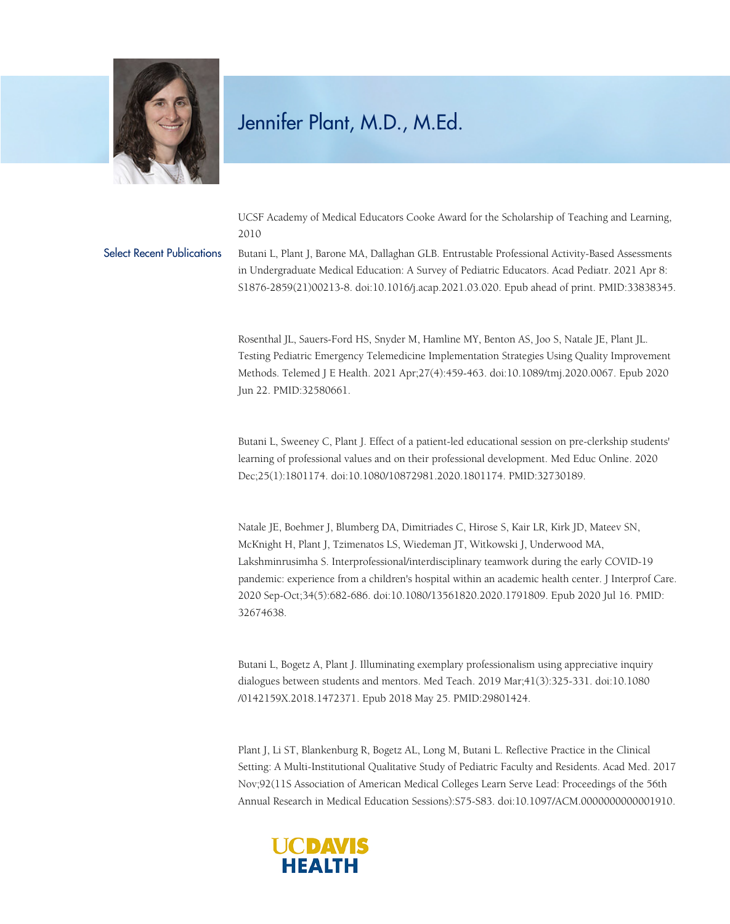

## Jennifer Plant, M.D., M.Ed.

UCSF Academy of Medical Educators Cooke Award for the Scholarship of Teaching and Learning, 2010

Select Recent Publications Butani L, Plant J, Barone MA, Dallaghan GLB. Entrustable Professional Activity-Based Assessments in Undergraduate Medical Education: A Survey of Pediatric Educators. Acad Pediatr. 2021 Apr 8: S1876-2859(21)00213-8. doi:10.1016/j.acap.2021.03.020. Epub ahead of print. PMID:33838345.

> Rosenthal JL, Sauers-Ford HS, Snyder M, Hamline MY, Benton AS, Joo S, Natale JE, Plant JL. Testing Pediatric Emergency Telemedicine Implementation Strategies Using Quality Improvement Methods. Telemed J E Health. 2021 Apr;27(4):459-463. doi:10.1089/tmj.2020.0067. Epub 2020 Jun 22. PMID:32580661.

> Butani L, Sweeney C, Plant J. Effect of a patient-led educational session on pre-clerkship students' learning of professional values and on their professional development. Med Educ Online. 2020 Dec;25(1):1801174. doi:10.1080/10872981.2020.1801174. PMID:32730189.

Natale JE, Boehmer J, Blumberg DA, Dimitriades C, Hirose S, Kair LR, Kirk JD, Mateev SN, McKnight H, Plant J, Tzimenatos LS, Wiedeman JT, Witkowski J, Underwood MA, Lakshminrusimha S. Interprofessional/interdisciplinary teamwork during the early COVID-19 pandemic: experience from a children's hospital within an academic health center. J Interprof Care. 2020 Sep-Oct;34(5):682-686. doi:10.1080/13561820.2020.1791809. Epub 2020 Jul 16. PMID: 32674638.

Butani L, Bogetz A, Plant J. Illuminating exemplary professionalism using appreciative inquiry dialogues between students and mentors. Med Teach. 2019 Mar;41(3):325-331. doi:10.1080 /0142159X.2018.1472371. Epub 2018 May 25. PMID:29801424.

Plant J, Li ST, Blankenburg R, Bogetz AL, Long M, Butani L. Reflective Practice in the Clinical Setting: A Multi-Institutional Qualitative Study of Pediatric Faculty and Residents. Acad Med. 2017 Nov;92(11S Association of American Medical Colleges Learn Serve Lead: Proceedings of the 56th Annual Research in Medical Education Sessions):S75-S83. doi:10.1097/ACM.0000000000001910.